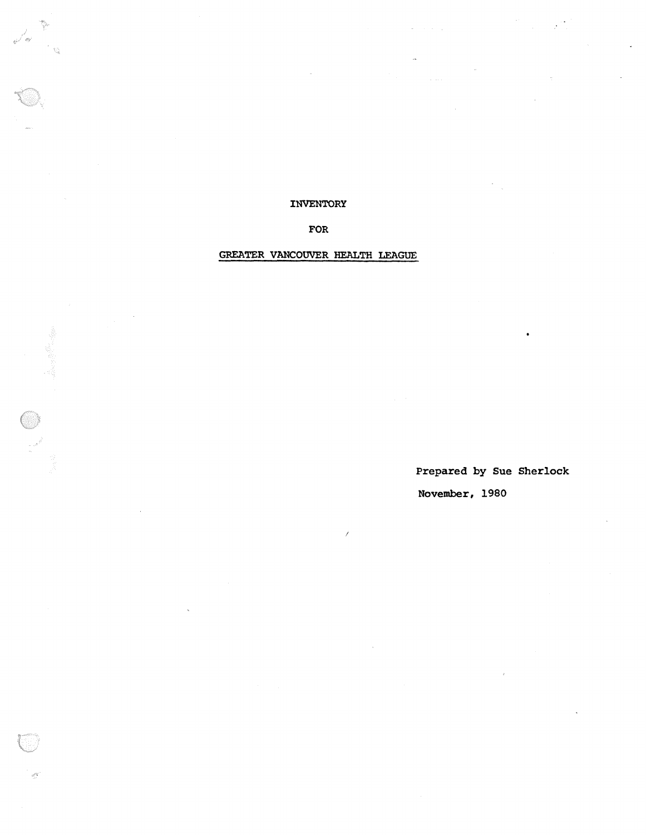INVENTORY

 $\mathbb{R}^{d\cdot q}$ 

FOR

## GREATER VANCOUVER HEALTH LEAGUE

Prepared by Sue Sherlock November, 1980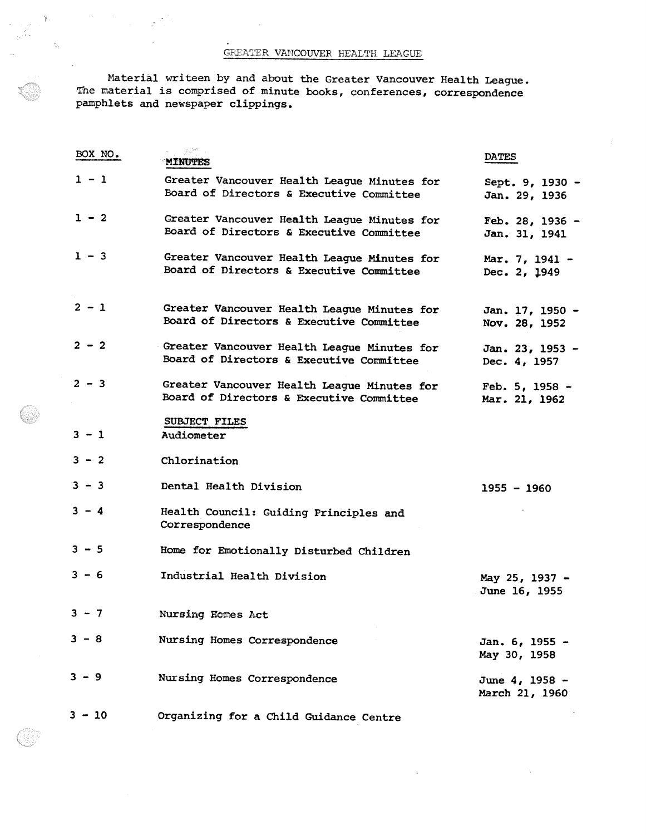Material writeen by and about the Greater Vancouver Health League . The material is comprised of minute books, conferences, correspondence pamphlets and newspaper clippings .

| BOX NO.  | <b>MINUTES</b>                                                                          | <b>DATES</b>                      |
|----------|-----------------------------------------------------------------------------------------|-----------------------------------|
| $1 - 1$  | Greater Vancouver Health League Minutes for<br>Board of Directors & Executive Committee | Sept. 9, 1930 -<br>Jan. 29, 1936  |
| $1 - 2$  | Greater Vancouver Health League Minutes for<br>Board of Directors & Executive Committee | Feb. 28, 1936 -<br>Jan. 31, 1941  |
| $1 - 3$  | Greater Vancouver Health League Minutes for<br>Board of Directors & Executive Committee | Mar. 7, 1941 -<br>Dec. 2, 1949    |
| $2 - 1$  | Greater Vancouver Health League Minutes for<br>Board of Directors & Executive Committee | Jan. 17, 1950 -<br>Nov. 28, 1952  |
| $2 - 2$  | Greater Vancouver Health League Minutes for<br>Board of Directors & Executive Committee | Jan. 23, 1953 -<br>Dec. 4, 1957   |
| $2 - 3$  | Greater Vancouver Health League Minutes for<br>Board of Directors & Executive Committee | Feb. $5, 1958 -$<br>Mar. 21, 1962 |
| $3 - 1$  | SUBJECT FILES<br>Audiometer                                                             |                                   |
| $3 - 2$  | Chlorination                                                                            |                                   |
| $3 - 3$  | Dental Health Division                                                                  | $1955 - 1960$                     |
| $3 - 4$  | Health Council: Guiding Principles and<br>Correspondence                                |                                   |
| $3 - 5$  | Home for Emotionally Disturbed Children                                                 |                                   |
| $3 - 6$  | Industrial Health Division                                                              | May 25, 1937 -<br>June 16, 1955   |
| $3 - 7$  | Nursing Homes Act                                                                       |                                   |
| $3 - 8$  | Nursing Homes Correspondence                                                            | Jan. 6, 1955 -<br>May 30, 1958    |
| $3 - 9$  | Nursing Homes Correspondence                                                            | June 4, 1958 -<br>March 21, 1960  |
| $3 - 10$ | Organizing for a Child Guidance Centre                                                  |                                   |

 $\tilde{\mathcal{S}}$ 

é.